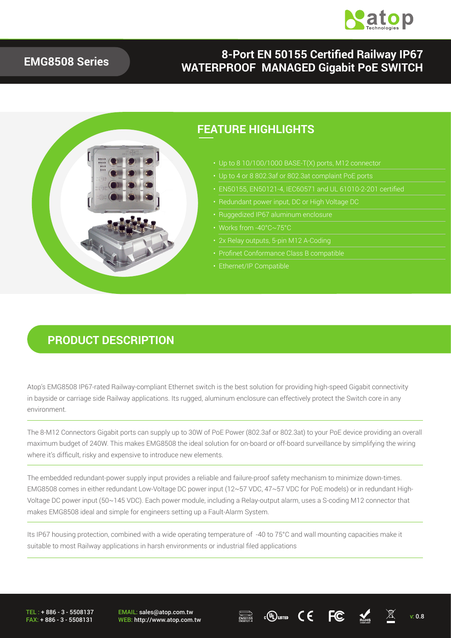

#### **EMG8508 Series**

### **8-Port EN 50155 Certified Railway IP67 WATERPROOF MANAGED Gigabit PoE SWITCH**



### **PRODUCT DESCRIPTION**

Atop's EMG8508 IP67-rated Railway-compliant Ethernet switch is the best solution for providing high-speed Gigabit connectivity in bayside or carriage side Railway applications. Its rugged, aluminum enclosure can effectively protect the Switch core in any environment.

The 8-M12 Connectors Gigabit ports can supply up to 30W of PoE Power (802.3af or 802.3at) to your PoE device providing an overall maximum budget of 240W. This makes EMG8508 the ideal solution for on-board or off-board surveillance by simplifying the wiring where it's difficult, risky and expensive to introduce new elements.

The embedded redundant-power supply input provides a reliable and failure-proof safety mechanism to minimize down-times. EMG8508 comes in either redundant Low-Voltage DC power input (12~57 VDC, 47~57 VDC for PoE models) or in redundant High-Voltage DC power input (50~145 VDC). Each power module, including a Relay-output alarm, uses a S-coding M12 connector that makes EMG8508 ideal and simple for engineers setting up a Fault-Alarm System.

Its IP67 housing protection, combined with a wide operating temperature of -40 to 75°C and wall mounting capacities make it suitable to most Railway applications in harsh environments or industrial filed applications

TEL : + 886 - 3 - 5508137 FAX: + 886 - 3 - 5508131 EMAIL: sales@atop.com.tw EMAIL: sales@atop.com.tw  $\overline{\mathbb{R}^{\text{SPI5}}_{\text{RMS}}}\qquad c\overline{\mathbb{Q}}$ usted  $\overline{\mathbb{C}}\in\overline{\mathbb{C}^{\text{SPI5}}_{\text{RMS}}}$   $\overline{\mathbb{C}^{\text{SPI5}}_{\text{RMS}}}$  v: 0.8



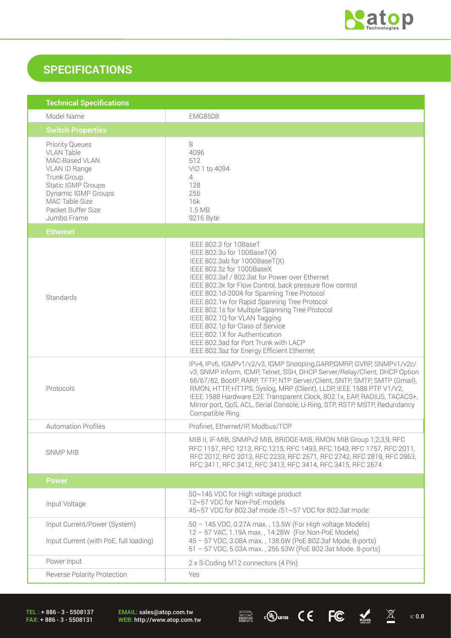

## **SPECIFICATIONS**

| <b>Technical Specifications</b>                                                                                                                                                                          |                                                                                                                                                                                                                                                                                                                                                                                                                                                                                                                                                                                  |  |  |  |
|----------------------------------------------------------------------------------------------------------------------------------------------------------------------------------------------------------|----------------------------------------------------------------------------------------------------------------------------------------------------------------------------------------------------------------------------------------------------------------------------------------------------------------------------------------------------------------------------------------------------------------------------------------------------------------------------------------------------------------------------------------------------------------------------------|--|--|--|
| Model Name                                                                                                                                                                                               | <b>EMG8508</b>                                                                                                                                                                                                                                                                                                                                                                                                                                                                                                                                                                   |  |  |  |
| <b>Switch Properties</b>                                                                                                                                                                                 |                                                                                                                                                                                                                                                                                                                                                                                                                                                                                                                                                                                  |  |  |  |
| <b>Priority Queues</b><br><b>VLAN Table</b><br>MAC-Based VLAN<br>VLAN ID Range<br>Trunk Group<br>Static IGMP Groups<br><b>Dynamic IGMP Groups</b><br>MAC Table Size<br>Packet Buffer Size<br>Jumbo Frame | 8<br>4096<br>512<br>VID 1 to 4094<br>4<br>128<br>256<br>16k<br>1.5 MB<br>9216 Byte                                                                                                                                                                                                                                                                                                                                                                                                                                                                                               |  |  |  |
| <b>Ethernet</b>                                                                                                                                                                                          |                                                                                                                                                                                                                                                                                                                                                                                                                                                                                                                                                                                  |  |  |  |
| Standards                                                                                                                                                                                                | IEEE 802.3 for 10BaseT<br>IEEE 802.3u for 100BaseT(X)<br>IEEE 802.3ab for 1000BaseT(X)<br>IEEE 802.3z for 1000BaseX<br>IEEE 802.3af / 802.3at for Power over Ethernet<br>IEEE 802.3x for Flow Control, back pressure flow control<br>IEEE 802.1d-2004 for Spanning Tree Protocol<br>IEEE 802.1w for Rapid Spanning Tree Protocol<br>IEEE 802.1s for Multiple Spanning Tree Protocol<br>IEEE 802.1Q for VLAN Tagging<br>IEEE 802.1p for Class of Service<br>IEEE 802.1X for Authentication<br>IEEE 802.3ad for Port Trunk with LACP<br>IEEE 802.3az for Energy Efficient Ethernet |  |  |  |
| Protocols                                                                                                                                                                                                | IPv4, IPv6, IGMPv1/v2/v3, IGMP Snooping, GARP, GMRP, GVRP, SNMPv1/v2c/<br>v3, SNMP Inform, ICMP, Telnet, SSH, DHCP Server/Relay/Client, DHCP Option<br>66/67/82, BootP, RARP, TFTP, NTP Server/Client, SNTP, SMTP, SMTP (Gmail),<br>RMON, HTTP, HTTPS, Syslog, MRP (Client), LLDP, IEEE 1588 PTP V1/V2,<br>IEEE 1588 Hardware E2E Transparent Clock, 802.1x, EAP, RADIUS, TACACS+,<br>Mirror port, QoS, ACL, Serial Console, U-Ring, STP, RSTP, MSTP, Redundancy<br>Compatible Ring                                                                                              |  |  |  |
| <b>Automation Profiles</b>                                                                                                                                                                               | Profinet, Ethernet/IP, Modbus/TCP                                                                                                                                                                                                                                                                                                                                                                                                                                                                                                                                                |  |  |  |
| <b>SNMP MIB</b>                                                                                                                                                                                          | MIB II, IF-MIB, SNMPv2 MIB, BRIDGE-MIB, RMON MIB Group 1,2,3,9, RFC<br>RFC 1157, RFC 1213, RFC 1215, RFC 1493, RFC 1643, RFC 1757, RFC 2011,<br>RFC 2012, RFC 2013, RFC 2233, RFC 2571, RFC 2742, RFC 2819, RFC 2863,<br>RFC 3411, RFC 3412, RFC 3413, RFC 3414, RFC 3415, RFC 2674                                                                                                                                                                                                                                                                                              |  |  |  |
| <b>Power</b>                                                                                                                                                                                             |                                                                                                                                                                                                                                                                                                                                                                                                                                                                                                                                                                                  |  |  |  |
| Input Voltage                                                                                                                                                                                            | 50~145 VDC for High voltage product<br>12~57 VDC for Non-PoE models<br>45~57 VDC for 802.3af mode /51~57 VDC for 802.3at mode                                                                                                                                                                                                                                                                                                                                                                                                                                                    |  |  |  |
| Input Current/Power (System)<br>Input Current (with PoE, full loading)                                                                                                                                   | 50 - 145 VDC, 0.27A max., 13.5W (For High voltage Models)<br>12 - 57 VAC, 1.19A max., 14.28W (For Non-PoE Models)<br>45 - 57 VDC, 3.08A max., 138.6W (PoE 802.3af Mode, 8-ports)<br>51 - 57 VDC, 5.03A max., 256.53W (PoE 802.3at Mode. 8-ports)                                                                                                                                                                                                                                                                                                                                 |  |  |  |
| Power input                                                                                                                                                                                              | 2 x S-Coding M12 connectors (4 Pin)                                                                                                                                                                                                                                                                                                                                                                                                                                                                                                                                              |  |  |  |
| <b>Reverse Polarity Protection</b>                                                                                                                                                                       | Yes                                                                                                                                                                                                                                                                                                                                                                                                                                                                                                                                                                              |  |  |  |

TEL : + 886 - 3 - 5508137 FAX: + 886 - 3 - 5508131

EMAIL: sales@atop.com.tw<br>WEB: http://www.atop.com.tw

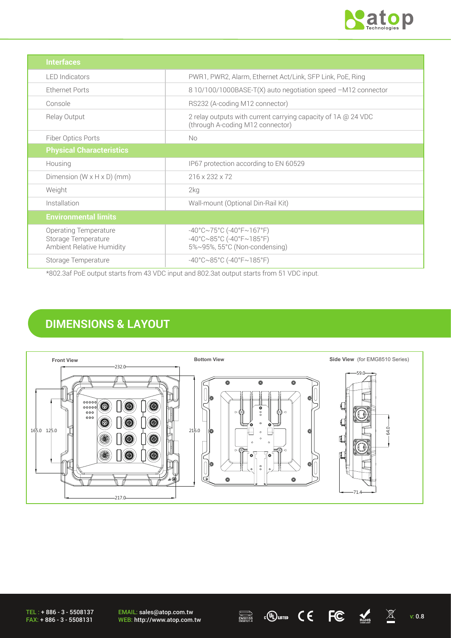

| <b>Interfaces</b>                                                         |                                                                                                                                       |
|---------------------------------------------------------------------------|---------------------------------------------------------------------------------------------------------------------------------------|
| <b>LED</b> Indicators                                                     | PWR1, PWR2, Alarm, Ethernet Act/Link, SFP Link, PoE, Ring                                                                             |
| <b>Ethernet Ports</b>                                                     | 8 10/100/1000BASE-T(X) auto negotiation speed -M12 connector                                                                          |
| Console                                                                   | RS232 (A-coding M12 connector)                                                                                                        |
| Relay Output                                                              | 2 relay outputs with current carrying capacity of 1A @ 24 VDC<br>(through A-coding M12 connector)                                     |
| Fiber Optics Ports                                                        | No                                                                                                                                    |
| <b>Physical Characteristics</b>                                           |                                                                                                                                       |
| Housing                                                                   | IP67 protection according to EN 60529                                                                                                 |
| Dimension $(W \times H \times D)$ (mm)                                    | 216 x 232 x 72                                                                                                                        |
| Weight                                                                    | 2kg                                                                                                                                   |
| Installation                                                              | Wall-mount (Optional Din-Rail Kit)                                                                                                    |
| <b>Environmental limits</b>                                               |                                                                                                                                       |
| Operating Temperature<br>Storage Temperature<br>Ambient Relative Humidity | $-40^{\circ}$ C $\sim$ 75°C (-40°F $\sim$ 167°F)<br>$-40^{\circ}$ C $\sim$ 85°C (-40°F $\sim$ 185°F)<br>5%~95%, 55°C (Non-condensing) |
| Storage Temperature                                                       | $-40^{\circ}$ C $\sim$ 85°C (-40°F $\sim$ 185°F)                                                                                      |

\*802.3af PoE output starts from 43 VDC input and 802.3at output starts from 51 VDC input.

## **DIMENSIONS & LAYOUT**



TEL : + 886 - 3 - 5508137 FAX: + 886 - 3 - 5508131

EMAIL: sales@atop.com.tw EMAIL: sales@atop.com.tw  $\overline{\mathbb{R}^{\text{SUSY}}_{\text{RMSMIST}}}$  c(U) usted  $\overline{\mathsf{C}}$   $\overline{\mathsf{C}}$   $\overline{\mathsf{C}}$   $\overline{\mathbb{R}^{\text{SUSY}}_{\text{RMS}}}$  v: 0.8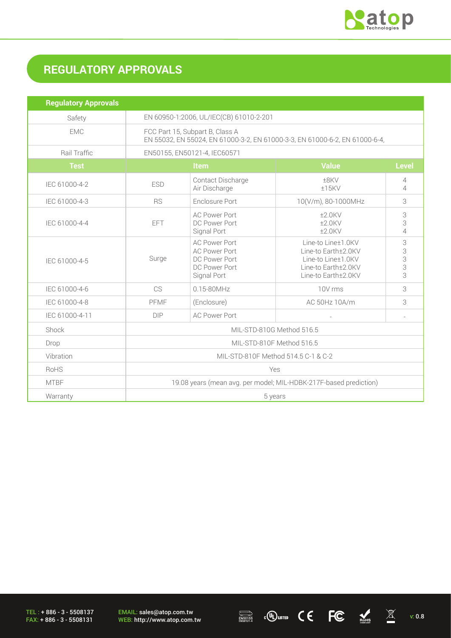

# **REGULATORY APPROVALS**

| <b>Regulatory Approvals</b> |                                                                                                                |                                                                                               |                                                                                                               |                          |
|-----------------------------|----------------------------------------------------------------------------------------------------------------|-----------------------------------------------------------------------------------------------|---------------------------------------------------------------------------------------------------------------|--------------------------|
| Safety                      | EN 60950-1:2006, UL/IEC(CB) 61010-2-201                                                                        |                                                                                               |                                                                                                               |                          |
| <b>EMC</b>                  | FCC Part 15, Subpart B, Class A<br>EN 55032, EN 55024, EN 61000-3-2, EN 61000-3-3, EN 61000-6-2, EN 61000-6-4, |                                                                                               |                                                                                                               |                          |
| Rail Traffic                | EN50155, EN50121-4, IEC60571                                                                                   |                                                                                               |                                                                                                               |                          |
| <b>Test</b>                 | Item                                                                                                           |                                                                                               | <b>Value</b>                                                                                                  | <b>Level</b>             |
| IEC 61000-4-2               | <b>ESD</b>                                                                                                     | Contact Discharge<br>Air Discharge                                                            | ±8KV<br>$±15$ KV                                                                                              | 4<br>$\overline{4}$      |
| IEC 61000-4-3               | <b>RS</b>                                                                                                      | Enclosure Port<br>10(V/m), 80-1000MHz                                                         |                                                                                                               | 3                        |
| IEC 61000-4-4               | EFT                                                                                                            | <b>AC Power Port</b><br>DC Power Port<br>Signal Port                                          | $±2.0$ KV<br>$±2.0$ KV<br>$±2.0$ KV                                                                           | 3<br>3<br>$\overline{4}$ |
| IEC 61000-4-5               | Surge                                                                                                          | <b>AC Power Port</b><br><b>AC Power Port</b><br>DC Power Port<br>DC Power Port<br>Signal Port | Line-to Line±1.0KV<br>Line-to Earth±2.0KV<br>Line-to Line±1.0KV<br>Line-to Earth±2.0KV<br>Line-to Earth±2.0KV | 3<br>3<br>3<br>3<br>3    |
| IEC 61000-4-6               | CS                                                                                                             | $0.15 - 80$ MHz                                                                               | 10V rms                                                                                                       | 3                        |
| IEC 61000-4-8               | PFMF                                                                                                           | (Enclosure)                                                                                   | AC 50Hz 10A/m                                                                                                 | 3                        |
| IEC 61000-4-11              | DIP                                                                                                            | <b>AC Power Port</b>                                                                          |                                                                                                               |                          |
| Shock                       | MIL-STD-810G Method 516.5                                                                                      |                                                                                               |                                                                                                               |                          |
| Drop                        | MIL-STD-810F Method 516.5                                                                                      |                                                                                               |                                                                                                               |                          |
| Vibration                   | MIL-STD-810F Method 514.5 C-1 & C-2                                                                            |                                                                                               |                                                                                                               |                          |
| <b>RoHS</b>                 | Yes                                                                                                            |                                                                                               |                                                                                                               |                          |
| <b>MTBF</b>                 | 19.08 years (mean avg. per model; MIL-HDBK-217F-based prediction)                                              |                                                                                               |                                                                                                               |                          |
| Warranty                    | 5 years                                                                                                        |                                                                                               |                                                                                                               |                          |